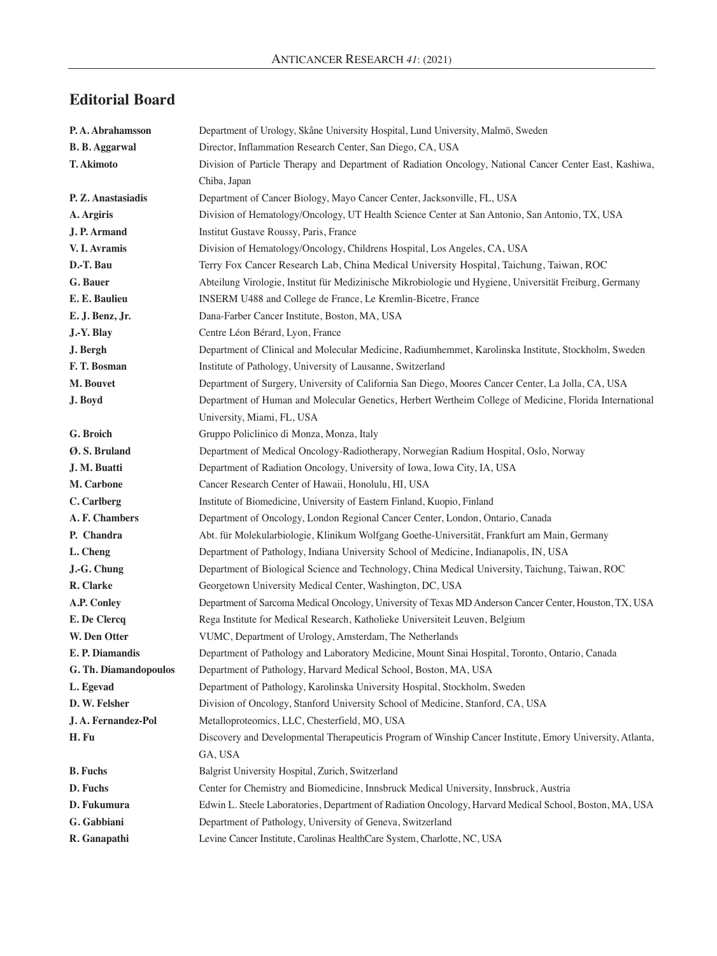## **Editorial Board**

| P.A. Abrahamsson      | Department of Urology, Skåne University Hospital, Lund University, Malmö, Sweden                          |
|-----------------------|-----------------------------------------------------------------------------------------------------------|
| <b>B. B. Aggarwal</b> | Director, Inflammation Research Center, San Diego, CA, USA                                                |
| T. Akimoto            | Division of Particle Therapy and Department of Radiation Oncology, National Cancer Center East, Kashiwa,  |
|                       | Chiba, Japan                                                                                              |
| P. Z. Anastasiadis    | Department of Cancer Biology, Mayo Cancer Center, Jacksonville, FL, USA                                   |
| A. Argiris            | Division of Hematology/Oncology, UT Health Science Center at San Antonio, San Antonio, TX, USA            |
| J. P. Armand          | Institut Gustave Roussy, Paris, France                                                                    |
| V. I. Avramis         | Division of Hematology/Oncology, Childrens Hospital, Los Angeles, CA, USA                                 |
| D.-T. Bau             | Terry Fox Cancer Research Lab, China Medical University Hospital, Taichung, Taiwan, ROC                   |
| G. Bauer              | Abteilung Virologie, Institut für Medizinische Mikrobiologie und Hygiene, Universität Freiburg, Germany   |
| E. E. Baulieu         | INSERM U488 and College de France, Le Kremlin-Bicetre, France                                             |
| E. J. Benz, Jr.       | Dana-Farber Cancer Institute, Boston, MA, USA                                                             |
| J.-Y. Blay            | Centre Léon Bérard, Lyon, France                                                                          |
| J. Bergh              | Department of Clinical and Molecular Medicine, Radiumhemmet, Karolinska Institute, Stockholm, Sweden      |
| F.T. Bosman           | Institute of Pathology, University of Lausanne, Switzerland                                               |
| M. Bouvet             | Department of Surgery, University of California San Diego, Moores Cancer Center, La Jolla, CA, USA        |
| J. Boyd               | Department of Human and Molecular Genetics, Herbert Wertheim College of Medicine, Florida International   |
|                       | University, Miami, FL, USA                                                                                |
| G. Broich             | Gruppo Policlinico di Monza, Monza, Italy                                                                 |
| Ø.S. Bruland          | Department of Medical Oncology-Radiotherapy, Norwegian Radium Hospital, Oslo, Norway                      |
| J. M. Buatti          | Department of Radiation Oncology, University of Iowa, Iowa City, IA, USA                                  |
| M. Carbone            | Cancer Research Center of Hawaii, Honolulu, HI, USA                                                       |
| C. Carlberg           | Institute of Biomedicine, University of Eastern Finland, Kuopio, Finland                                  |
| A. F. Chambers        | Department of Oncology, London Regional Cancer Center, London, Ontario, Canada                            |
| P. Chandra            | Abt. für Molekularbiologie, Klinikum Wolfgang Goethe-Universität, Frankfurt am Main, Germany              |
| L. Cheng              | Department of Pathology, Indiana University School of Medicine, Indianapolis, IN, USA                     |
| J.-G. Chung           | Department of Biological Science and Technology, China Medical University, Taichung, Taiwan, ROC          |
| R. Clarke             | Georgetown University Medical Center, Washington, DC, USA                                                 |
| A.P. Conley           | Department of Sarcoma Medical Oncology, University of Texas MD Anderson Cancer Center, Houston, TX, USA   |
| E. De Clercq          | Rega Institute for Medical Research, Katholieke Universiteit Leuven, Belgium                              |
| W. Den Otter          | VUMC, Department of Urology, Amsterdam, The Netherlands                                                   |
| E. P. Diamandis       | Department of Pathology and Laboratory Medicine, Mount Sinai Hospital, Toronto, Ontario, Canada           |
| G. Th. Diamandopoulos | Department of Pathology, Harvard Medical School, Boston, MA, USA                                          |
| L. Egevad             | Department of Pathology, Karolinska University Hospital, Stockholm, Sweden                                |
| D. W. Felsher         | Division of Oncology, Stanford University School of Medicine, Stanford, CA, USA                           |
| J.A. Fernandez-Pol    | Metalloproteomics, LLC, Chesterfield, MO, USA                                                             |
| H. Fu                 | Discovery and Developmental Therapeuticis Program of Winship Cancer Institute, Emory University, Atlanta, |
|                       | GA, USA                                                                                                   |
| <b>B.</b> Fuchs       | Balgrist University Hospital, Zurich, Switzerland                                                         |
| D. Fuchs              | Center for Chemistry and Biomedicine, Innsbruck Medical University, Innsbruck, Austria                    |
| D. Fukumura           | Edwin L. Steele Laboratories, Department of Radiation Oncology, Harvard Medical School, Boston, MA, USA   |
| G. Gabbiani           | Department of Pathology, University of Geneva, Switzerland                                                |
| R. Ganapathi          | Levine Cancer Institute, Carolinas HealthCare System, Charlotte, NC, USA                                  |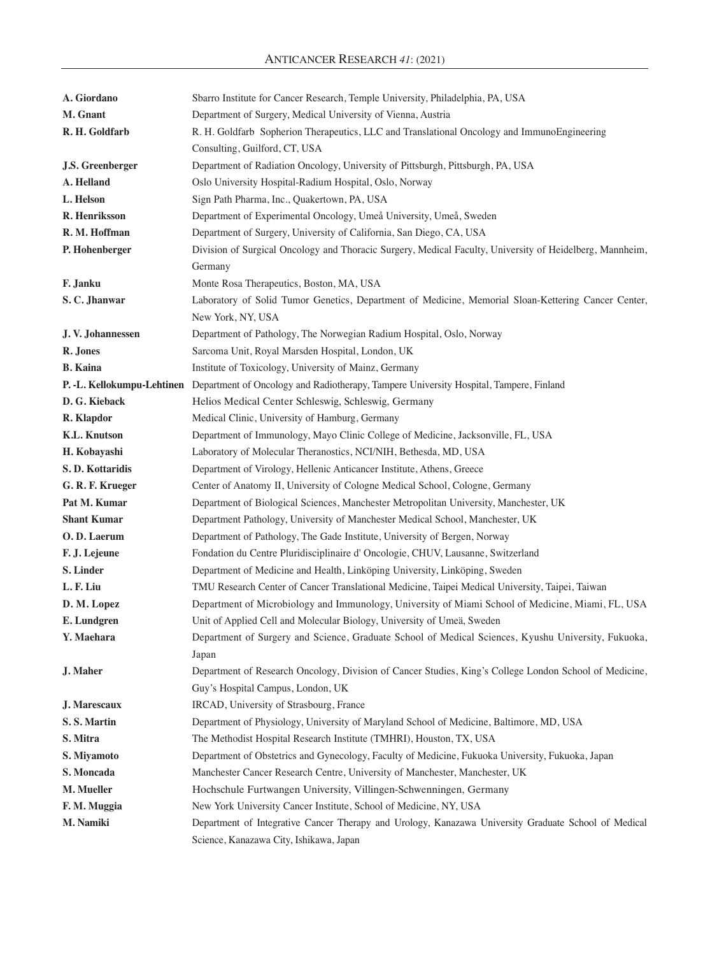| A. Giordano             | Sbarro Institute for Cancer Research, Temple University, Philadelphia, PA, USA                                    |
|-------------------------|-------------------------------------------------------------------------------------------------------------------|
| M. Gnant                | Department of Surgery, Medical University of Vienna, Austria                                                      |
| R. H. Goldfarb          | R. H. Goldfarb Sopherion Therapeutics, LLC and Translational Oncology and ImmunoEngineering                       |
|                         | Consulting, Guilford, CT, USA                                                                                     |
| <b>J.S. Greenberger</b> | Department of Radiation Oncology, University of Pittsburgh, Pittsburgh, PA, USA                                   |
| A. Helland              | Oslo University Hospital-Radium Hospital, Oslo, Norway                                                            |
| L. Helson               | Sign Path Pharma, Inc., Quakertown, PA, USA                                                                       |
| R. Henriksson           | Department of Experimental Oncology, Umeå University, Umeå, Sweden                                                |
| R. M. Hoffman           | Department of Surgery, University of California, San Diego, CA, USA                                               |
| P. Hohenberger          | Division of Surgical Oncology and Thoracic Surgery, Medical Faculty, University of Heidelberg, Mannheim,          |
|                         | Germany                                                                                                           |
| F. Janku                | Monte Rosa Therapeutics, Boston, MA, USA                                                                          |
| S.C. Jhanwar            | Laboratory of Solid Tumor Genetics, Department of Medicine, Memorial Sloan-Kettering Cancer Center,               |
|                         | New York, NY, USA                                                                                                 |
| J.V. Johannessen        | Department of Pathology, The Norwegian Radium Hospital, Oslo, Norway                                              |
| R. Jones                | Sarcoma Unit, Royal Marsden Hospital, London, UK                                                                  |
| <b>B.</b> Kaina         | Institute of Toxicology, University of Mainz, Germany                                                             |
|                         | P. -L. Kellokumpu-Lehtinen Department of Oncology and Radiotherapy, Tampere University Hospital, Tampere, Finland |
| D. G. Kieback           | Helios Medical Center Schleswig, Schleswig, Germany                                                               |
| R. Klapdor              | Medical Clinic, University of Hamburg, Germany                                                                    |
| <b>K.L. Knutson</b>     | Department of Immunology, Mayo Clinic College of Medicine, Jacksonville, FL, USA                                  |
| H. Kobayashi            | Laboratory of Molecular Theranostics, NCI/NIH, Bethesda, MD, USA                                                  |
| S.D. Kottaridis         | Department of Virology, Hellenic Anticancer Institute, Athens, Greece                                             |
| G. R. F. Krueger        | Center of Anatomy II, University of Cologne Medical School, Cologne, Germany                                      |
| Pat M. Kumar            | Department of Biological Sciences, Manchester Metropolitan University, Manchester, UK                             |
| <b>Shant Kumar</b>      | Department Pathology, University of Manchester Medical School, Manchester, UK                                     |
| O.D. Laerum             | Department of Pathology, The Gade Institute, University of Bergen, Norway                                         |
| F. J. Lejeune           | Fondation du Centre Pluridisciplinaire d'Oncologie, CHUV, Lausanne, Switzerland                                   |
| S. Linder               | Department of Medicine and Health, Linköping University, Linköping, Sweden                                        |
| L. F. Liu               | TMU Research Center of Cancer Translational Medicine, Taipei Medical University, Taipei, Taiwan                   |
| D. M. Lopez             | Department of Microbiology and Immunology, University of Miami School of Medicine, Miami, FL, USA                 |
| E. Lundgren             | Unit of Applied Cell and Molecular Biology, University of Umeä, Sweden                                            |
| Y. Maehara              | Department of Surgery and Science, Graduate School of Medical Sciences, Kyushu University, Fukuoka,               |
|                         | Japan                                                                                                             |
| J. Maher                | Department of Research Oncology, Division of Cancer Studies, King's College London School of Medicine,            |
|                         | Guy's Hospital Campus, London, UK                                                                                 |
| J. Marescaux            | IRCAD, University of Strasbourg, France                                                                           |
| S.S. Martin             | Department of Physiology, University of Maryland School of Medicine, Baltimore, MD, USA                           |
| S. Mitra                | The Methodist Hospital Research Institute (TMHRI), Houston, TX, USA                                               |
| S. Miyamoto             | Department of Obstetrics and Gynecology, Faculty of Medicine, Fukuoka University, Fukuoka, Japan                  |
| S. Moncada              | Manchester Cancer Research Centre, University of Manchester, Manchester, UK                                       |
| M. Mueller              | Hochschule Furtwangen University, Villingen-Schwenningen, Germany                                                 |
| F. M. Muggia            | New York University Cancer Institute, School of Medicine, NY, USA                                                 |
| M. Namiki               | Department of Integrative Cancer Therapy and Urology, Kanazawa University Graduate School of Medical              |
|                         | Science, Kanazawa City, Ishikawa, Japan                                                                           |